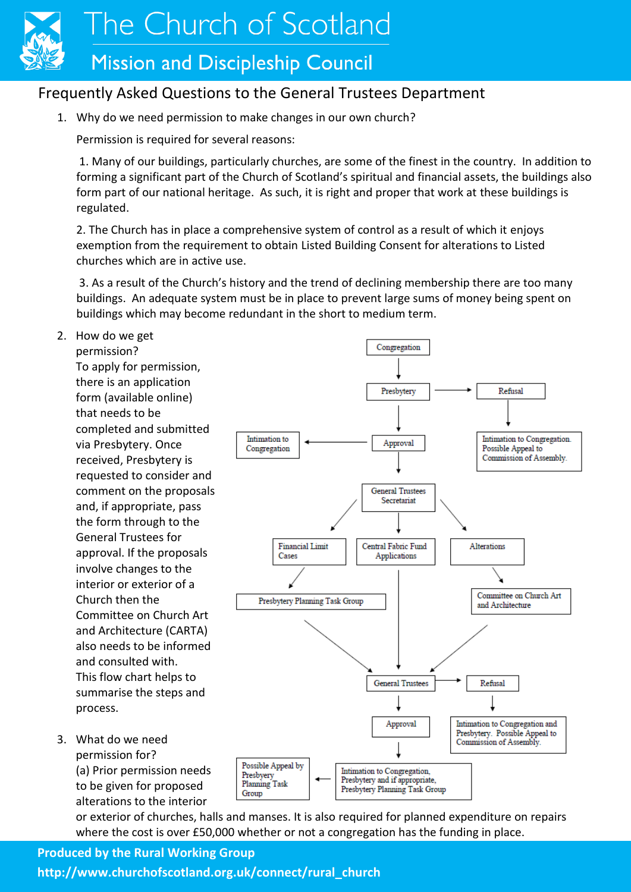

The Church of Scotland

## **Mission and Discipleship Council**

### Frequently Asked Questions to the General Trustees Department

Intimation to

Congregation

1. Why do we need permission to make changes in our own church?

Permission is required for several reasons:

1. Many of our buildings, particularly churches, are some of the finest in the country. In addition to forming a significant part of the Church of Scotland's spiritual and financial assets, the buildings also form part of our national heritage. As such, it is right and proper that work at these buildings is regulated.

2. The Church has in place a comprehensive system of control as a result of which it enjoys exemption from the requirement to obtain Listed Building Consent for alterations to Listed churches which are in active use.

3. As a result of the Church's history and the trend of declining membership there are too many buildings. An adequate system must be in place to prevent large sums of money being spent on buildings which may become redundant in the short to medium term.

2. How do we get

permission? To apply for permission, there is an application form (available online) that needs to be completed and submitted via Presbytery. Once received, Presbytery is requested to consider and comment on the proposals and, if appropriate, pass the form through to the General Trustees for approval. If the proposals involve changes to the interior or exterior of a Church then the Committee on Church Art and Architecture (CARTA) also needs to be informed and consulted with. This flow chart helps to summarise the steps and process.

3. What do we need permission for? (a) Prior permission needs to be given for proposed alterations to the interior

**General Trustees** Secretariat **Financial Limit** Central Fabric Fund Alterations Cases Applications Committee on Church Art Presbytery Planning Task Group and Architecture **General Trustees** Refusal Intimation to Congregation and Approval Presbytery. Possible Appeal to Commission of Assembly. Possible Appeal by Intimation to Congregation, Presbyery Presbytery and if appropriate, **Planning Task** Presbytery Planning Task Group Group

Congregation

Presbytery

Approval

Refusal

Possible Appeal to

Intimation to Congregation.

Commission of Assembly.

or exterior of churches, halls and manses. It is also required for planned expenditure on repairs where the cost is over £50,000 whether or not a congregation has the funding in place.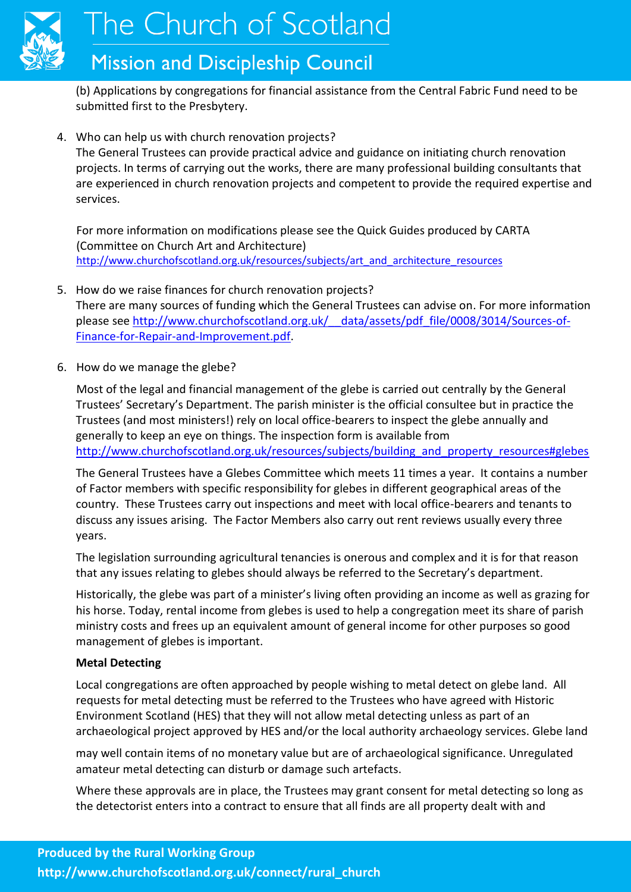

The Church of Scotland

## **Mission and Discipleship Council**

(b) Applications by congregations for financial assistance from the Central Fabric Fund need to be submitted first to the Presbytery.

4. Who can help us with church renovation projects?

The General Trustees can provide practical advice and guidance on initiating church renovation projects. In terms of carrying out the works, there are many professional building consultants that are experienced in church renovation projects and competent to provide the required expertise and services.

For more information on modifications please see the Quick Guides produced by CARTA (Committee on Church Art and Architecture) [http://www.churchofscotland.org.uk/resources/subjects/art\\_and\\_architecture\\_resources](http://www.churchofscotland.org.uk/resources/subjects/art_and_architecture_resources)

- 5. How do we raise finances for church renovation projects? There are many sources of funding which the General Trustees can advise on. For more information please see [http://www.churchofscotland.org.uk/\\_\\_data/assets/pdf\\_file/0008/3014/Sources-of-](http://www.churchofscotland.org.uk/__data/assets/pdf_file/0008/3014/Sources-of-Finance-for-Repair-and-Improvement.pdf)[Finance-for-Repair-and-Improvement.pdf.](http://www.churchofscotland.org.uk/__data/assets/pdf_file/0008/3014/Sources-of-Finance-for-Repair-and-Improvement.pdf)
- 6. How do we manage the glebe?

Most of the legal and financial management of the glebe is carried out centrally by the General Trustees' Secretary's Department. The parish minister is the official consultee but in practice the Trustees (and most ministers!) rely on local office-bearers to inspect the glebe annually and generally to keep an eye on things. The inspection form is available from http://www.churchofscotland.org.uk/resources/subjects/building and property resources#glebes

The General Trustees have a Glebes Committee which meets 11 times a year. It contains a number of Factor members with specific responsibility for glebes in different geographical areas of the country. These Trustees carry out inspections and meet with local office-bearers and tenants to discuss any issues arising. The Factor Members also carry out rent reviews usually every three years.

The legislation surrounding agricultural tenancies is onerous and complex and it is for that reason that any issues relating to glebes should always be referred to the Secretary's department.

Historically, the glebe was part of a minister's living often providing an income as well as grazing for his horse. Today, rental income from glebes is used to help a congregation meet its share of parish ministry costs and frees up an equivalent amount of general income for other purposes so good management of glebes is important.

#### **Metal Detecting**

Local congregations are often approached by people wishing to metal detect on glebe land. All requests for metal detecting must be referred to the Trustees who have agreed with Historic Environment Scotland (HES) that they will not allow metal detecting unless as part of an archaeological project approved by HES and/or the local authority archaeology services. Glebe land

may well contain items of no monetary value but are of archaeological significance. Unregulated amateur metal detecting can disturb or damage such artefacts.

Where these approvals are in place, the Trustees may grant consent for metal detecting so long as the detectorist enters into a contract to ensure that all finds are all property dealt with and